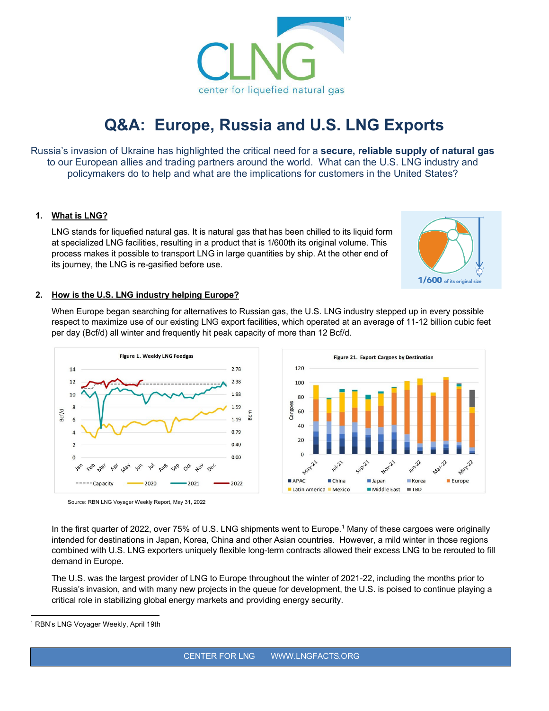

# **Q&A: Europe, Russia and U.S. LNG Exports**

Russia's invasion of Ukraine has highlighted the critical need for a **secure, reliable supply of natural gas** to our European allies and trading partners around the world. What can the U.S. LNG industry and policymakers do to help and what are the implications for customers in the United States?

#### **1. What is LNG?**

LNG stands for liquefied natural gas. It is natural gas that has been chilled to its liquid form at specialized LNG facilities, resulting in a product that is 1/600th its original volume. This process makes it possible to transport LNG in large quantities by ship. At the other end of its journey, the LNG is re-gasified before use.



#### **2. How is the U.S. LNG industry helping Europe?**

When Europe began searching for alternatives to Russian gas, the U.S. LNG industry stepped up in every possible respect to maximize use of our existing LNG export facilities, which operated at an average of 11-12 billion cubic feet per day (Bcf/d) all winter and frequently hit peak capacity of more than 12 Bcf/d.



Source: RBN LNG Voyager Weekly Report, May 31, 2022

In the first quarter of 2022, over 75% of U.S. LNG shipments went to Europe.<sup>[1](#page-0-0)</sup> Many of these cargoes were originally intended for destinations in Japan, Korea, China and other Asian countries. However, a mild winter in those regions combined with U.S. LNG exporters uniquely flexible long-term contracts allowed their excess LNG to be rerouted to fill demand in Europe.

The U.S. was the largest provider of LNG to Europe throughout the winter of 2021-22, including the months prior to Russia's invasion, and with many new projects in the queue for development, the U.S. is poised to continue playing a critical role in stabilizing global energy markets and providing energy security.

<span id="page-0-0"></span><sup>&</sup>lt;sup>1</sup> RBN's LNG Voyager Weekly, April 19th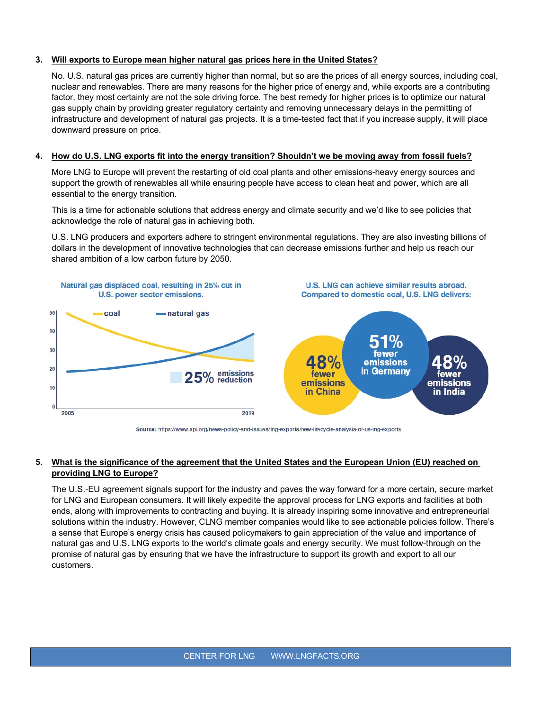#### **3. Will exports to Europe mean higher natural gas prices here in the United States?**

No. U.S. natural gas prices are currently higher than normal, but so are the prices of all energy sources, including coal, nuclear and renewables. There are many reasons for the higher price of energy and, while exports are a contributing factor, they most certainly are not the sole driving force. The best remedy for higher prices is to optimize our natural gas supply chain by providing greater regulatory certainty and removing unnecessary delays in the permitting of infrastructure and development of natural gas projects. It is a time-tested fact that if you increase supply, it will place downward pressure on price.

#### **4. How do U.S. LNG exports fit into the energy transition? Shouldn't we be moving away from fossil fuels?**

More LNG to Europe will prevent the restarting of old coal plants and other emissions-heavy energy sources and support the growth of renewables all while ensuring people have access to clean heat and power, which are all essential to the energy transition.

This is a time for actionable solutions that address energy and climate security and we'd like to see policies that acknowledge the role of natural gas in achieving both.

U.S. LNG producers and exporters adhere to stringent environmental regulations. They are also investing billions of dollars in the development of innovative technologies that can decrease emissions further and help us reach our shared ambition of a low carbon future by 2050.



Source: https://www.api.org/news-policy-and-issues/Ing-exports/new-lifecycle-analysis-of-us-Ing-exports

#### **5. What is the significance of the agreement that the United States and the European Union (EU) reached on providing LNG to Europe?**

The U.S.-EU agreement signals support for the industry and paves the way forward for a more certain, secure market for LNG and European consumers. It will likely expedite the approval process for LNG exports and facilities at both ends, along with improvements to contracting and buying. It is already inspiring some innovative and entrepreneurial solutions within the industry. However, CLNG member companies would like to see actionable policies follow. There's a sense that Europe's energy crisis has caused policymakers to gain appreciation of the value and importance of natural gas and U.S. LNG exports to the world's climate goals and energy security. We must follow-through on the promise of natural gas by ensuring that we have the infrastructure to support its growth and export to all our customers.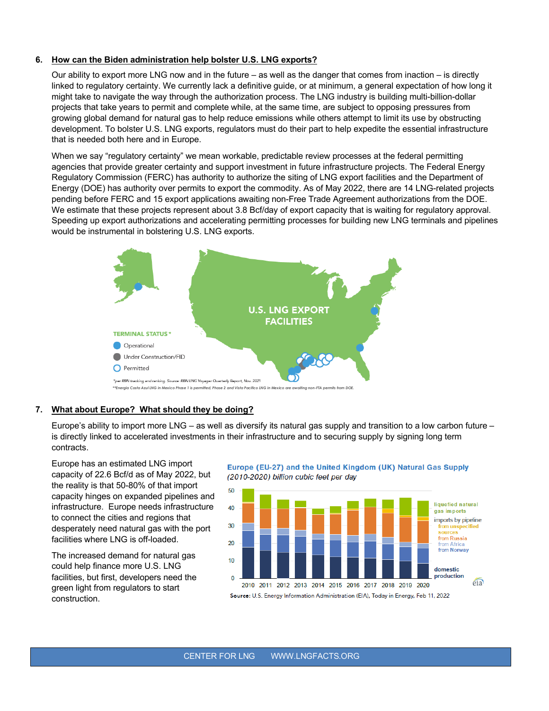#### **6. How can the Biden administration help bolster U.S. LNG exports?**

Our ability to export more LNG now and in the future – as well as the danger that comes from inaction – is directly linked to regulatory certainty. We currently lack a definitive guide, or at minimum, a general expectation of how long it might take to navigate the way through the authorization process. The LNG industry is building multi-billion-dollar projects that take years to permit and complete while, at the same time, are subject to opposing pressures from growing global demand for natural gas to help reduce emissions while others attempt to limit its use by obstructing development. To bolster U.S. LNG exports, regulators must do their part to help expedite the essential infrastructure that is needed both here and in Europe.

When we say "regulatory certainty" we mean workable, predictable review processes at the federal permitting agencies that provide greater certainty and support investment in future infrastructure projects. The Federal Energy Regulatory Commission (FERC) has authority to authorize the siting of LNG export facilities and the Department of Energy (DOE) has authority over permits to export the commodity. As of May 2022, there are 14 LNG-related projects pending before FERC and 15 export applications awaiting non-Free Trade Agreement authorizations from the DOE. We estimate that these projects represent about 3.8 Bcf/day of export capacity that is waiting for regulatory approval. Speeding up export authorizations and accelerating permitting processes for building new LNG terminals and pipelines would be instrumental in bolstering U.S. LNG exports.



#### **7. What about Europe? What should they be doing?**

Europe's ability to import more LNG – as well as diversify its natural gas supply and transition to a low carbon future – is directly linked to accelerated investments in their infrastructure and to securing supply by signing long term contracts.

Europe has an estimated LNG import capacity of 22.6 Bcf/d as of May 2022, but the reality is that 50-80% of that import capacity hinges on expanded pipelines and infrastructure. Europe needs infrastructure to connect the cities and regions that desperately need natural gas with the port facilities where LNG is off-loaded.

The increased demand for natural gas could help finance more U.S. LNG facilities, but first, developers need the green light from regulators to start construction.





CENTER FOR LNG WWW.LNGFACTS.ORG